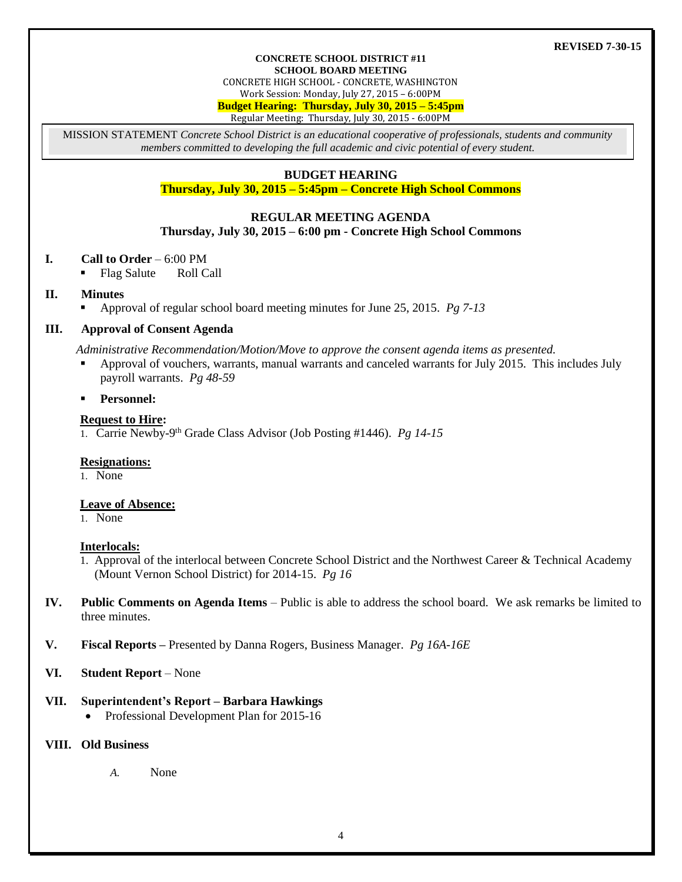#### **REVISED 7-30-15**

#### **CONCRETE SCHOOL DISTRICT #11 SCHOOL BOARD MEETING**

CONCRETE HIGH SCHOOL - CONCRETE, WASHINGTON

Work Session: Monday, July 27, 2015 – 6:00PM

**Budget Hearing: Thursday, July 30, 2015 – 5:45pm**

Regular Meeting: Thursday, July 30, 2015 - 6:00PM

MISSION STATEMENT *Concrete School District is an educational cooperative of professionals, students and community members committed to developing the full academic and civic potential of every student.*

# **BUDGET HEARING**

**Thursday, July 30, 2015 – 5:45pm – Concrete High School Commons**

## **REGULAR MEETING AGENDA**

#### **Thursday, July 30, 2015 – 6:00 pm - Concrete High School Commons**

- **I. Call to Order** 6:00 PM
	- Flag Salute Roll Call

# **II. Minutes**

Approval of regular school board meeting minutes for June 25, 2015. *Pg 7-13*

## **III. Approval of Consent Agenda**

*Administrative Recommendation/Motion/Move to approve the consent agenda items as presented.*

- Approval of vouchers, warrants, manual warrants and canceled warrants for July 2015. This includes July payroll warrants. *Pg 48-59*
- **Personnel:**

## **Request to Hire:**

1. Carrie Newby-9<sup>th</sup> Grade Class Advisor (Job Posting #1446). *Pg 14-15* 

## **Resignations:**

1. None

## **Leave of Absence:**

1. None

## **Interlocals:**

- 1. Approval of the interlocal between Concrete School District and the Northwest Career & Technical Academy (Mount Vernon School District) for 2014-15. *Pg 16*
- **IV. Public Comments on Agenda Items** Public is able to address the school board. We ask remarks be limited to three minutes.
- **V. Fiscal Reports –** Presented by Danna Rogers, Business Manager. *Pg 16A-16E*
- **VI. Student Report** None

# **VII. Superintendent's Report – Barbara Hawkings**

Professional Development Plan for 2015-16

# **VIII. Old Business**

*A.* None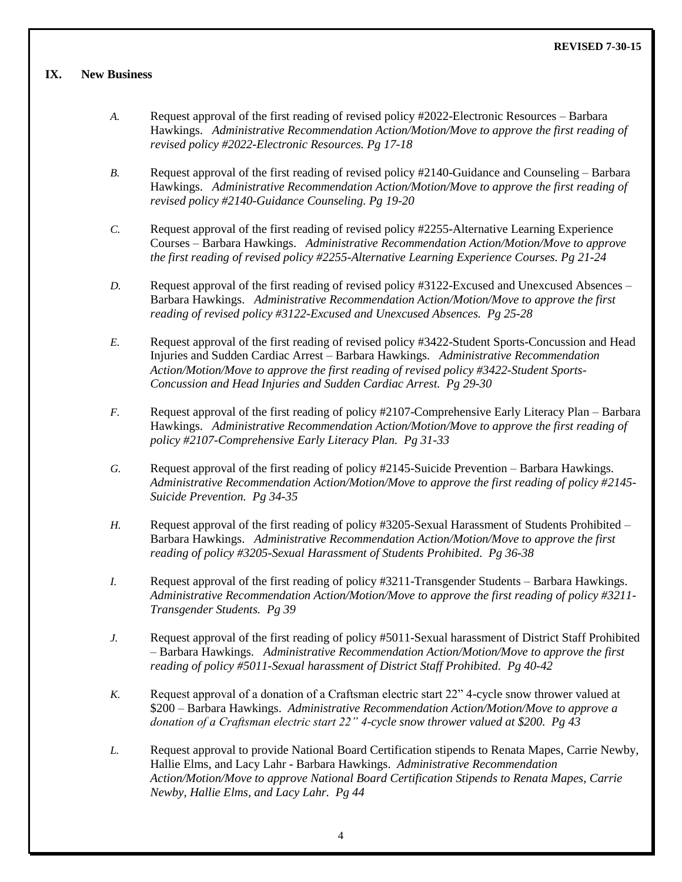#### **REVISED 7-30-15**

## **IX. New Business**

- *A.* Request approval of the first reading of revised policy #2022-Electronic Resources Barbara Hawkings. *Administrative Recommendation Action/Motion/Move to approve the first reading of revised policy #2022-Electronic Resources. Pg 17-18*
- *B.* Request approval of the first reading of revised policy #2140-Guidance and Counseling Barbara Hawkings. *Administrative Recommendation Action/Motion/Move to approve the first reading of revised policy #2140-Guidance Counseling. Pg 19-20*
- *C.* Request approval of the first reading of revised policy #2255-Alternative Learning Experience Courses – Barbara Hawkings. *Administrative Recommendation Action/Motion/Move to approve the first reading of revised policy #2255-Alternative Learning Experience Courses. Pg 21-24*
- *D.* Request approval of the first reading of revised policy #3122-Excused and Unexcused Absences Barbara Hawkings. *Administrative Recommendation Action/Motion/Move to approve the first reading of revised policy #3122-Excused and Unexcused Absences. Pg 25-28*
- *E.* Request approval of the first reading of revised policy #3422-Student Sports-Concussion and Head Injuries and Sudden Cardiac Arrest – Barbara Hawkings. *Administrative Recommendation Action/Motion/Move to approve the first reading of revised policy #3422-Student Sports-Concussion and Head Injuries and Sudden Cardiac Arrest. Pg 29-30*
- *F.* Request approval of the first reading of policy #2107-Comprehensive Early Literacy Plan Barbara Hawkings. *Administrative Recommendation Action/Motion/Move to approve the first reading of policy #2107-Comprehensive Early Literacy Plan. Pg 31-33*
- *G.* Request approval of the first reading of policy #2145-Suicide Prevention Barbara Hawkings. *Administrative Recommendation Action/Motion/Move to approve the first reading of policy #2145- Suicide Prevention. Pg 34-35*
- *H.* Request approval of the first reading of policy #3205-Sexual Harassment of Students Prohibited Barbara Hawkings. *Administrative Recommendation Action/Motion/Move to approve the first reading of policy #3205-Sexual Harassment of Students Prohibited. Pg 36-38*
- *I.* Request approval of the first reading of policy #3211-Transgender Students Barbara Hawkings. *Administrative Recommendation Action/Motion/Move to approve the first reading of policy #3211- Transgender Students. Pg 39*
- *J.* Request approval of the first reading of policy #5011-Sexual harassment of District Staff Prohibited – Barbara Hawkings. *Administrative Recommendation Action/Motion/Move to approve the first reading of policy #5011-Sexual harassment of District Staff Prohibited. Pg 40-42*
- *K.* Request approval of a donation of a Craftsman electric start 22" 4-cycle snow thrower valued at \$200 – Barbara Hawkings. *Administrative Recommendation Action/Motion/Move to approve a donation of a Craftsman electric start 22" 4-cycle snow thrower valued at \$200. Pg 43*
- *L.* Request approval to provide National Board Certification stipends to Renata Mapes, Carrie Newby, Hallie Elms, and Lacy Lahr - Barbara Hawkings. *Administrative Recommendation Action/Motion/Move to approve National Board Certification Stipends to Renata Mapes, Carrie Newby, Hallie Elms, and Lacy Lahr. Pg 44*